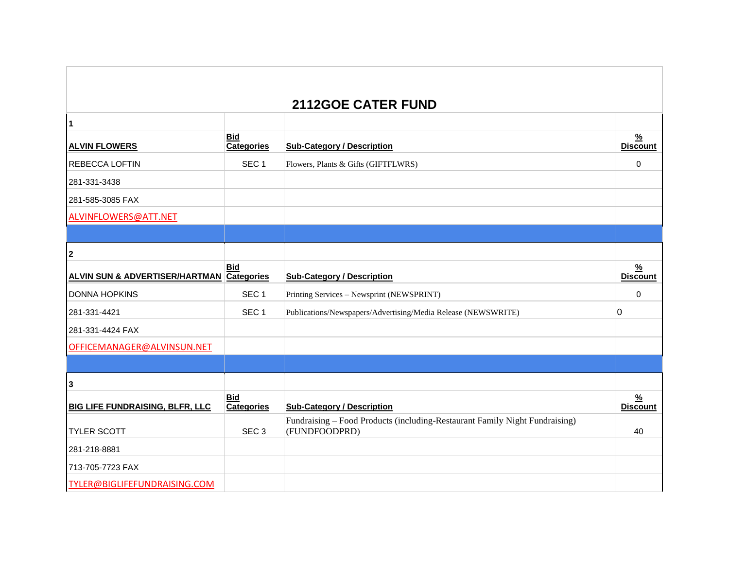## **2112GOE CATER FUND**

| $\overline{1}$                                       |                                 |                                                                                              |                                  |
|------------------------------------------------------|---------------------------------|----------------------------------------------------------------------------------------------|----------------------------------|
| <b>ALVIN FLOWERS</b>                                 | <b>Bid</b><br><b>Categories</b> | <b>Sub-Category / Description</b>                                                            | $\frac{9}{6}$<br><b>Discount</b> |
| <b>REBECCA LOFTIN</b>                                | SEC <sub>1</sub>                | Flowers, Plants & Gifts (GIFTFLWRS)                                                          | 0                                |
| 281-331-3438                                         |                                 |                                                                                              |                                  |
| 281-585-3085 FAX                                     |                                 |                                                                                              |                                  |
| ALVINFLOWERS@ATT.NET                                 |                                 |                                                                                              |                                  |
|                                                      |                                 |                                                                                              |                                  |
| $\boldsymbol{2}$                                     |                                 |                                                                                              |                                  |
| <b>ALVIN SUN &amp; ADVERTISER/HARTMAN Categories</b> | <b>Bid</b>                      | <b>Sub-Category / Description</b>                                                            | $\frac{9}{6}$<br><b>Discount</b> |
| <b>DONNA HOPKINS</b>                                 | SEC <sub>1</sub>                | Printing Services - Newsprint (NEWSPRINT)                                                    | $\Omega$                         |
| 281-331-4421                                         | SEC <sub>1</sub>                | Publications/Newspapers/Advertising/Media Release (NEWSWRITE)                                | 0                                |
| 281-331-4424 FAX                                     |                                 |                                                                                              |                                  |
| OFFICEMANAGER@ALVINSUN.NET                           |                                 |                                                                                              |                                  |
|                                                      |                                 |                                                                                              |                                  |
| 3                                                    |                                 |                                                                                              |                                  |
| <b>BIG LIFE FUNDRAISING, BLFR, LLC</b>               | <b>Bid</b><br><b>Categories</b> | <b>Sub-Category / Description</b>                                                            | $\frac{9}{6}$<br><b>Discount</b> |
| <b>TYLER SCOTT</b>                                   | SEC <sub>3</sub>                | Fundraising - Food Products (including-Restaurant Family Night Fundraising)<br>(FUNDFOODPRD) | 40                               |
| 281-218-8881                                         |                                 |                                                                                              |                                  |
| 713-705-7723 FAX                                     |                                 |                                                                                              |                                  |
| TYLER@BIGLIFEFUNDRAISING.COM                         |                                 |                                                                                              |                                  |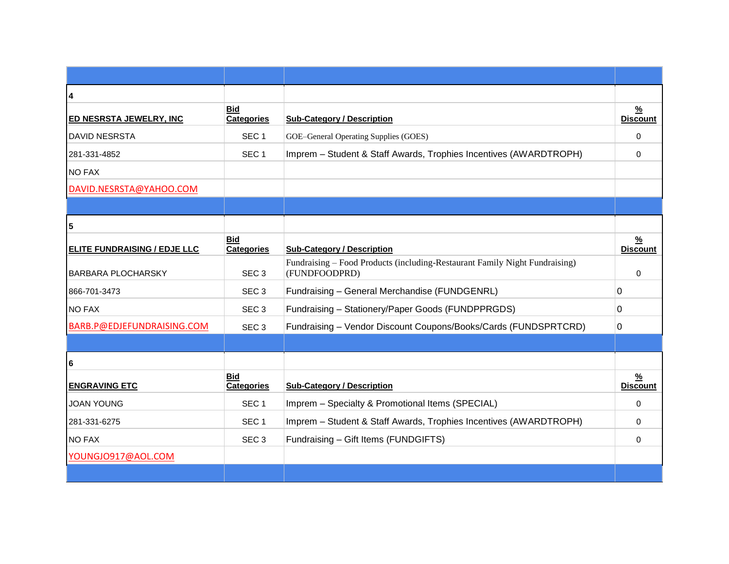| 4                                   |                                 |                                                                                              |                                  |
|-------------------------------------|---------------------------------|----------------------------------------------------------------------------------------------|----------------------------------|
| <b>ED NESRSTA JEWELRY, INC</b>      | <b>Bid</b><br><b>Categories</b> | <b>Sub-Category / Description</b>                                                            | $\frac{9}{6}$<br><b>Discount</b> |
| <b>DAVID NESRSTA</b>                | SEC <sub>1</sub>                | GOE-General Operating Supplies (GOES)                                                        | $\Omega$                         |
| 281-331-4852                        | SEC <sub>1</sub>                | Imprem - Student & Staff Awards, Trophies Incentives (AWARDTROPH)                            | $\Omega$                         |
| <b>NO FAX</b>                       |                                 |                                                                                              |                                  |
| DAVID.NESRSTA@YAHOO.COM             |                                 |                                                                                              |                                  |
|                                     |                                 |                                                                                              |                                  |
| 5                                   |                                 |                                                                                              |                                  |
| <b>ELITE FUNDRAISING / EDJE LLC</b> | <b>Bid</b><br><b>Categories</b> | <b>Sub-Category / Description</b>                                                            | $\frac{9}{6}$<br><b>Discount</b> |
| <b>BARBARA PLOCHARSKY</b>           | SEC <sub>3</sub>                | Fundraising – Food Products (including-Restaurant Family Night Fundraising)<br>(FUNDFOODPRD) | $\Omega$                         |
| 866-701-3473                        | SEC <sub>3</sub>                | Fundraising - General Merchandise (FUNDGENRL)                                                | 0                                |
| <b>NO FAX</b>                       | SEC <sub>3</sub>                | Fundraising - Stationery/Paper Goods (FUNDPPRGDS)                                            | 0                                |
| BARB.P@EDJEFUNDRAISING.COM          | SEC <sub>3</sub>                | Fundraising - Vendor Discount Coupons/Books/Cards (FUNDSPRTCRD)                              | 0                                |
|                                     |                                 |                                                                                              |                                  |
| 6                                   |                                 |                                                                                              |                                  |
| <b>ENGRAVING ETC</b>                | <b>Bid</b><br><b>Categories</b> | <b>Sub-Category / Description</b>                                                            | $\frac{9}{6}$<br><b>Discount</b> |
| <b>JOAN YOUNG</b>                   | SEC <sub>1</sub>                | Imprem - Specialty & Promotional Items (SPECIAL)                                             | $\Omega$                         |
| 281-331-6275                        | SEC <sub>1</sub>                | Imprem - Student & Staff Awards, Trophies Incentives (AWARDTROPH)                            | $\Omega$                         |
| <b>NO FAX</b>                       | SEC <sub>3</sub>                | Fundraising - Gift Items (FUNDGIFTS)                                                         | 0                                |
| YOUNGJO917@AOL.COM                  |                                 |                                                                                              |                                  |
|                                     |                                 |                                                                                              |                                  |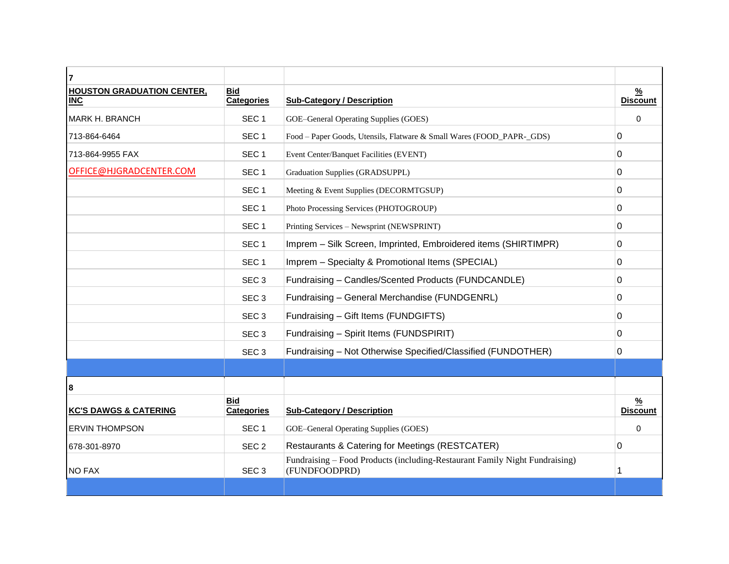| 7                                               |                                 |                                                                                              |                                  |
|-------------------------------------------------|---------------------------------|----------------------------------------------------------------------------------------------|----------------------------------|
| <b>HOUSTON GRADUATION CENTER,</b><br><b>INC</b> | <b>Bid</b><br>Categories        | <b>Sub-Category / Description</b>                                                            | $\frac{9}{6}$<br><b>Discount</b> |
| MARK H. BRANCH                                  | SEC <sub>1</sub>                | GOE-General Operating Supplies (GOES)                                                        | $\Omega$                         |
| 713-864-6464                                    | SEC <sub>1</sub>                | Food - Paper Goods, Utensils, Flatware & Small Wares (FOOD_PAPR-_GDS)                        | $\Omega$                         |
| 713-864-9955 FAX                                | SEC <sub>1</sub>                | Event Center/Banquet Facilities (EVENT)                                                      | 0                                |
| OFFICE@HJGRADCENTER.COM                         | SEC <sub>1</sub>                | Graduation Supplies (GRADSUPPL)                                                              | 0                                |
|                                                 | SEC <sub>1</sub>                | Meeting & Event Supplies (DECORMTGSUP)                                                       | 0                                |
|                                                 | SEC <sub>1</sub>                | Photo Processing Services (PHOTOGROUP)                                                       | 0                                |
|                                                 | SEC <sub>1</sub>                | Printing Services - Newsprint (NEWSPRINT)                                                    | 0                                |
|                                                 | SEC <sub>1</sub>                | Imprem - Silk Screen, Imprinted, Embroidered items (SHIRTIMPR)                               | 0                                |
|                                                 | SEC <sub>1</sub>                | Imprem - Specialty & Promotional Items (SPECIAL)                                             | 0                                |
|                                                 | SEC <sub>3</sub>                | Fundraising - Candles/Scented Products (FUNDCANDLE)                                          | 0                                |
|                                                 | SEC <sub>3</sub>                | Fundraising - General Merchandise (FUNDGENRL)                                                | 0                                |
|                                                 | SEC <sub>3</sub>                | Fundraising - Gift Items (FUNDGIFTS)                                                         | 0                                |
|                                                 | SEC <sub>3</sub>                | Fundraising - Spirit Items (FUNDSPIRIT)                                                      | 0                                |
|                                                 | SEC <sub>3</sub>                | Fundraising - Not Otherwise Specified/Classified (FUNDOTHER)                                 | 0                                |
|                                                 |                                 |                                                                                              |                                  |
| 8                                               |                                 |                                                                                              |                                  |
| <b>KC'S DAWGS &amp; CATERING</b>                | <b>Bid</b><br><b>Categories</b> | <b>Sub-Category / Description</b>                                                            | $\frac{9}{6}$<br><b>Discount</b> |
| <b>ERVIN THOMPSON</b>                           | SEC <sub>1</sub>                | GOE-General Operating Supplies (GOES)                                                        | $\Omega$                         |
| 678-301-8970                                    | SEC <sub>2</sub>                | Restaurants & Catering for Meetings (RESTCATER)                                              | $\Omega$                         |
| <b>NO FAX</b>                                   | SEC <sub>3</sub>                | Fundraising - Food Products (including-Restaurant Family Night Fundraising)<br>(FUNDFOODPRD) | 1                                |
|                                                 |                                 |                                                                                              |                                  |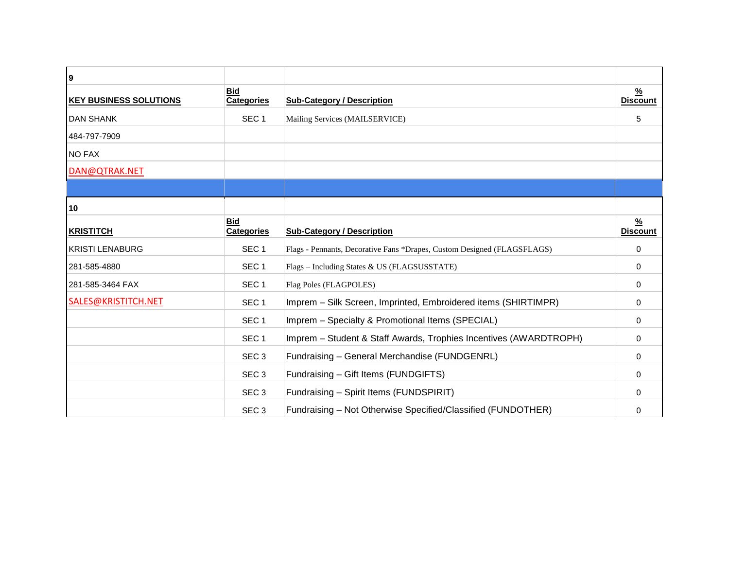| 9                             |                                 |                                                                         |                      |
|-------------------------------|---------------------------------|-------------------------------------------------------------------------|----------------------|
| <b>KEY BUSINESS SOLUTIONS</b> | <b>Bid</b><br><b>Categories</b> | <b>Sub-Category / Description</b>                                       | %<br><b>Discount</b> |
| <b>DAN SHANK</b>              | SEC <sub>1</sub>                | Mailing Services (MAILSERVICE)                                          | 5                    |
| 484-797-7909                  |                                 |                                                                         |                      |
| <b>NO FAX</b>                 |                                 |                                                                         |                      |
| DAN@QTRAK.NET                 |                                 |                                                                         |                      |
|                               |                                 |                                                                         |                      |
| 10                            |                                 |                                                                         |                      |
| <b>KRISTITCH</b>              | <b>Bid</b><br><b>Categories</b> | <b>Sub-Category / Description</b>                                       | %<br><b>Discount</b> |
| <b>KRISTI LENABURG</b>        | SEC <sub>1</sub>                | Flags - Pennants, Decorative Fans *Drapes, Custom Designed (FLAGSFLAGS) | $\Omega$             |
| 281-585-4880                  | SEC <sub>1</sub>                | Flags - Including States & US (FLAGSUSSTATE)                            | 0                    |
| 281-585-3464 FAX              | SEC <sub>1</sub>                | Flag Poles (FLAGPOLES)                                                  | 0                    |
| SALES@KRISTITCH.NET           | SEC <sub>1</sub>                | Imprem - Silk Screen, Imprinted, Embroidered items (SHIRTIMPR)          | 0                    |
|                               | SEC <sub>1</sub>                | Imprem - Specialty & Promotional Items (SPECIAL)                        | $\Omega$             |
|                               | SEC <sub>1</sub>                | Imprem - Student & Staff Awards, Trophies Incentives (AWARDTROPH)       | 0                    |
|                               | SEC <sub>3</sub>                | Fundraising - General Merchandise (FUNDGENRL)                           | $\Omega$             |
|                               | SEC <sub>3</sub>                | Fundraising - Gift Items (FUNDGIFTS)                                    | $\Omega$             |
|                               | SEC <sub>3</sub>                | Fundraising - Spirit Items (FUNDSPIRIT)                                 | $\Omega$             |
|                               | SEC <sub>3</sub>                | Fundraising - Not Otherwise Specified/Classified (FUNDOTHER)            | 0                    |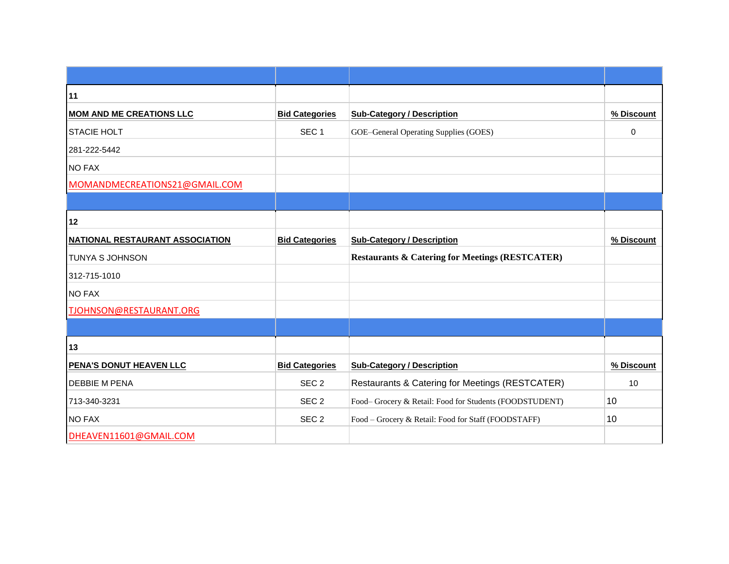| 11                                     |                       |                                                            |                 |
|----------------------------------------|-----------------------|------------------------------------------------------------|-----------------|
| <b>MOM AND ME CREATIONS LLC</b>        | <b>Bid Categories</b> | <b>Sub-Category / Description</b>                          | % Discount      |
| <b>STACIE HOLT</b>                     | SEC <sub>1</sub>      | GOE-General Operating Supplies (GOES)                      | 0               |
| 281-222-5442                           |                       |                                                            |                 |
| <b>NO FAX</b>                          |                       |                                                            |                 |
| MOMANDMECREATIONS21@GMAIL.COM          |                       |                                                            |                 |
|                                        |                       |                                                            |                 |
| 12                                     |                       |                                                            |                 |
| <b>NATIONAL RESTAURANT ASSOCIATION</b> | <b>Bid Categories</b> | <b>Sub-Category / Description</b>                          | % Discount      |
| TUNYA S JOHNSON                        |                       | <b>Restaurants &amp; Catering for Meetings (RESTCATER)</b> |                 |
| 312-715-1010                           |                       |                                                            |                 |
| <b>NO FAX</b>                          |                       |                                                            |                 |
| TJOHNSON@RESTAURANT.ORG                |                       |                                                            |                 |
|                                        |                       |                                                            |                 |
| 13                                     |                       |                                                            |                 |
| PENA'S DONUT HEAVEN LLC                | <b>Bid Categories</b> | <b>Sub-Category / Description</b>                          | % Discount      |
| <b>DEBBIE M PENA</b>                   | SEC <sub>2</sub>      | Restaurants & Catering for Meetings (RESTCATER)            | 10 <sup>1</sup> |
| 713-340-3231                           | SEC <sub>2</sub>      | Food-Grocery & Retail: Food for Students (FOODSTUDENT)     | 10              |
| <b>NO FAX</b>                          | SEC <sub>2</sub>      | Food - Grocery & Retail: Food for Staff (FOODSTAFF)        | 10              |
| DHEAVEN11601@GMAIL.COM                 |                       |                                                            |                 |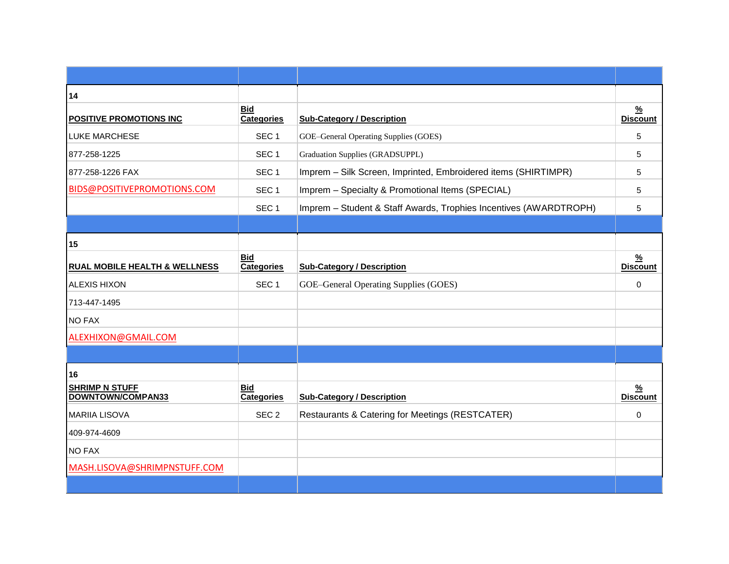| 14                                         |                                 |                                                                   |                                  |
|--------------------------------------------|---------------------------------|-------------------------------------------------------------------|----------------------------------|
| <b>POSITIVE PROMOTIONS INC</b>             | <b>Bid</b><br><b>Categories</b> | <b>Sub-Category / Description</b>                                 | $\frac{9}{6}$<br><b>Discount</b> |
| <b>LUKE MARCHESE</b>                       | SEC <sub>1</sub>                | GOE-General Operating Supplies (GOES)                             | 5                                |
| 877-258-1225                               | SEC <sub>1</sub>                | Graduation Supplies (GRADSUPPL)                                   | 5                                |
| 877-258-1226 FAX                           | SEC <sub>1</sub>                | Imprem - Silk Screen, Imprinted, Embroidered items (SHIRTIMPR)    | 5                                |
| BIDS@POSITIVEPROMOTIONS.COM                | SEC <sub>1</sub>                | Imprem - Specialty & Promotional Items (SPECIAL)                  | 5                                |
|                                            | SEC <sub>1</sub>                | Imprem - Student & Staff Awards, Trophies Incentives (AWARDTROPH) | 5                                |
|                                            |                                 |                                                                   |                                  |
| 15                                         |                                 |                                                                   |                                  |
| <b>RUAL MOBILE HEALTH &amp; WELLNESS</b>   | <b>Bid</b><br><b>Categories</b> | <b>Sub-Category / Description</b>                                 | $\frac{9}{6}$<br><b>Discount</b> |
| <b>ALEXIS HIXON</b>                        | SEC <sub>1</sub>                | GOE-General Operating Supplies (GOES)                             | 0                                |
| 713-447-1495                               |                                 |                                                                   |                                  |
| <b>NO FAX</b>                              |                                 |                                                                   |                                  |
| ALEXHIXON@GMAIL.COM                        |                                 |                                                                   |                                  |
|                                            |                                 |                                                                   |                                  |
| 16                                         |                                 |                                                                   |                                  |
| <b>SHRIMP N STUFF</b><br>DOWNTOWN/COMPAN33 | <b>Bid</b><br><b>Categories</b> | <b>Sub-Category / Description</b>                                 | $\frac{9}{6}$<br><b>Discount</b> |
| <b>MARIIA LISOVA</b>                       | SEC <sub>2</sub>                | Restaurants & Catering for Meetings (RESTCATER)                   | $\Omega$                         |
| 409-974-4609                               |                                 |                                                                   |                                  |
| <b>NO FAX</b>                              |                                 |                                                                   |                                  |
| MASH.LISOVA@SHRIMPNSTUFF.COM               |                                 |                                                                   |                                  |
|                                            |                                 |                                                                   |                                  |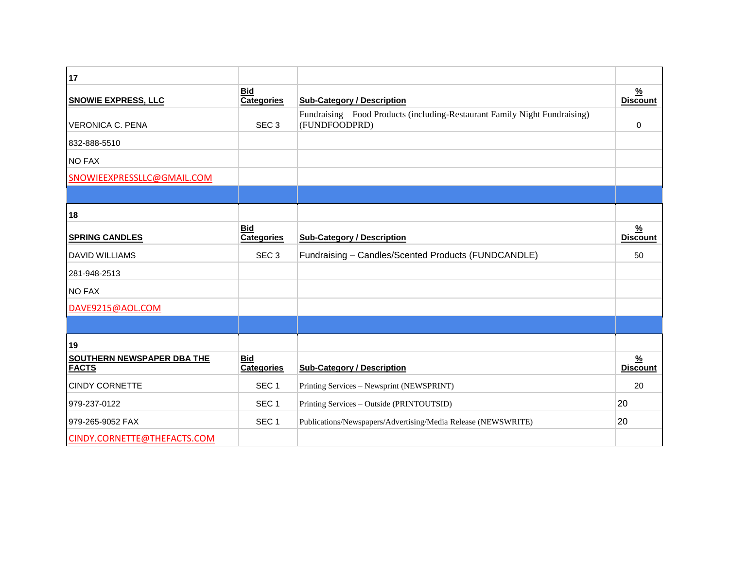| 17                                         |                                 |                                                                                              |                                  |
|--------------------------------------------|---------------------------------|----------------------------------------------------------------------------------------------|----------------------------------|
| <b>SNOWIE EXPRESS, LLC</b>                 | <b>Bid</b><br><b>Categories</b> | <b>Sub-Category / Description</b>                                                            | $\frac{9}{6}$<br><b>Discount</b> |
| <b>VERONICA C. PENA</b>                    | SEC <sub>3</sub>                | Fundraising – Food Products (including-Restaurant Family Night Fundraising)<br>(FUNDFOODPRD) | $\mathbf{0}$                     |
| 832-888-5510                               |                                 |                                                                                              |                                  |
| <b>NO FAX</b>                              |                                 |                                                                                              |                                  |
| SNOWIEEXPRESSLLC@GMAIL.COM                 |                                 |                                                                                              |                                  |
|                                            |                                 |                                                                                              |                                  |
| 18                                         |                                 |                                                                                              |                                  |
| <b>SPRING CANDLES</b>                      | <b>Bid</b><br><b>Categories</b> | <b>Sub-Category / Description</b>                                                            | $\frac{0}{2}$<br><b>Discount</b> |
| <b>DAVID WILLIAMS</b>                      | SEC <sub>3</sub>                | Fundraising - Candles/Scented Products (FUNDCANDLE)                                          | 50                               |
| 281-948-2513                               |                                 |                                                                                              |                                  |
| <b>NO FAX</b>                              |                                 |                                                                                              |                                  |
| DAVE9215@AOL.COM                           |                                 |                                                                                              |                                  |
|                                            |                                 |                                                                                              |                                  |
| 19                                         |                                 |                                                                                              |                                  |
| SOUTHERN NEWSPAPER DBA THE<br><b>FACTS</b> | <b>Bid</b><br><b>Categories</b> | <b>Sub-Category / Description</b>                                                            | $\frac{9}{6}$<br><b>Discount</b> |
| <b>CINDY CORNETTE</b>                      | SEC <sub>1</sub>                | Printing Services - Newsprint (NEWSPRINT)                                                    | 20                               |
| 979-237-0122                               | SEC <sub>1</sub>                | Printing Services - Outside (PRINTOUTSID)                                                    | 20                               |
| 979-265-9052 FAX                           | SEC <sub>1</sub>                | Publications/Newspapers/Advertising/Media Release (NEWSWRITE)                                | 20                               |
| CINDY.CORNETTE@THEFACTS.COM                |                                 |                                                                                              |                                  |